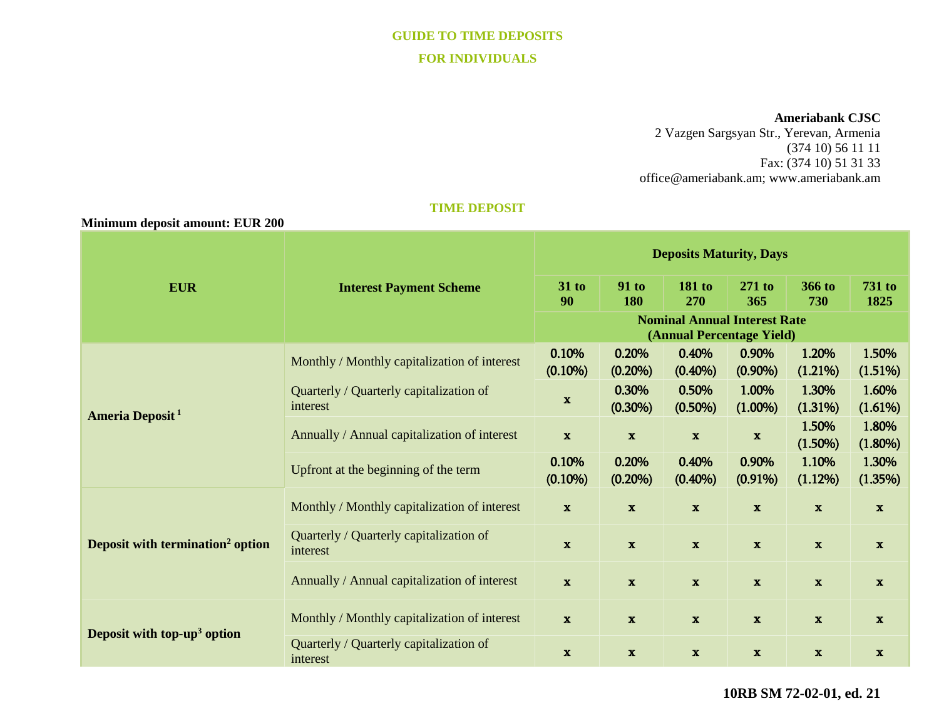# **GUIDE TO TIME DEPOSITS FOR INDIVIDUALS**

#### **Ameriabank CJSC**

2 Vazgen Sargsyan Str., Yerevan, Armenia (374 10) 56 11 11 Fax: (374 10) 51 31 33 [office@ameriabank.am;](mailto:office@ameriabank.am) www.ameriabank.am

## **TIME DEPOSIT**

| Minimum deposit amount: EUR 200              |                                                     |                                                                  |                     |                      |                     |                     |                       |
|----------------------------------------------|-----------------------------------------------------|------------------------------------------------------------------|---------------------|----------------------|---------------------|---------------------|-----------------------|
| <b>EUR</b>                                   | <b>Interest Payment Scheme</b>                      | <b>Deposits Maturity, Days</b>                                   |                     |                      |                     |                     |                       |
|                                              |                                                     | $31$ to<br>90                                                    | <b>91 to</b><br>180 | <b>181 to</b><br>270 | 271 to<br>365       | 366 to<br>730       | <b>731 to</b><br>1825 |
|                                              |                                                     | <b>Nominal Annual Interest Rate</b><br>(Annual Percentage Yield) |                     |                      |                     |                     |                       |
| Ameria Deposit <sup>1</sup>                  | Monthly / Monthly capitalization of interest        | 0.10%<br>$(0.10\%)$                                              | 0.20%<br>$(0.20\%)$ | 0.40%<br>$(0.40\%)$  | 0.90%<br>$(0.90\%)$ | 1.20%<br>$(1.21\%)$ | 1.50%<br>(1.51%)      |
|                                              | Quarterly / Quarterly capitalization of<br>interest | $\mathbf x$                                                      | 0.30%<br>$(0.30\%)$ | 0.50%<br>$(0.50\%)$  | 1.00%<br>$(1.00\%)$ | 1.30%<br>(1.31%)    | 1.60%<br>(1.61%)      |
|                                              | Annually / Annual capitalization of interest        | $\mathbf{x}$                                                     | $\mathbf{x}$        | $\mathbf{x}$         | $\mathbf x$         | 1.50%<br>$(1.50\%)$ | 1.80%<br>$(1.80\%)$   |
|                                              | Upfront at the beginning of the term                | 0.10%<br>$(0.10\%)$                                              | 0.20%<br>$(0.20\%)$ | 0.40%<br>$(0.40\%)$  | 0.90%<br>$(0.91\%)$ | 1.10%<br>(1.12%)    | 1.30%<br>(1.35%)      |
| Deposit with termination <sup>2</sup> option | Monthly / Monthly capitalization of interest        | $\mathbf{x}$                                                     | $\mathbf{x}$        | $\mathbf x$          | $\mathbf x$         | $\mathbf{x}$        | $\mathbf{x}$          |
|                                              | Quarterly / Quarterly capitalization of<br>interest | $\mathbf x$                                                      | $\mathbf x$         | $\mathbf{x}$         | $\mathbf x$         | $\mathbf x$         | $\mathbf{x}$          |
|                                              | Annually / Annual capitalization of interest        | $\mathbf{x}$                                                     | $\mathbf x$         | $\mathbf x$          | $\mathbf x$         | $\mathbf{x}$        | $\mathbf{x}$          |
| Deposit with top-up <sup>3</sup> option      | Monthly / Monthly capitalization of interest        | $\mathbf x$                                                      | $\mathbf{x}$        | $\mathbf{x}$         | $\mathbf{x}$        | $\mathbf x$         | $\mathbf{x}$          |
|                                              | Quarterly / Quarterly capitalization of<br>interest | $\mathbf x$                                                      | $\mathbf{x}$        | $\mathbf x$          | $\mathbf x$         | $\mathbf x$         | $\mathbf{x}$          |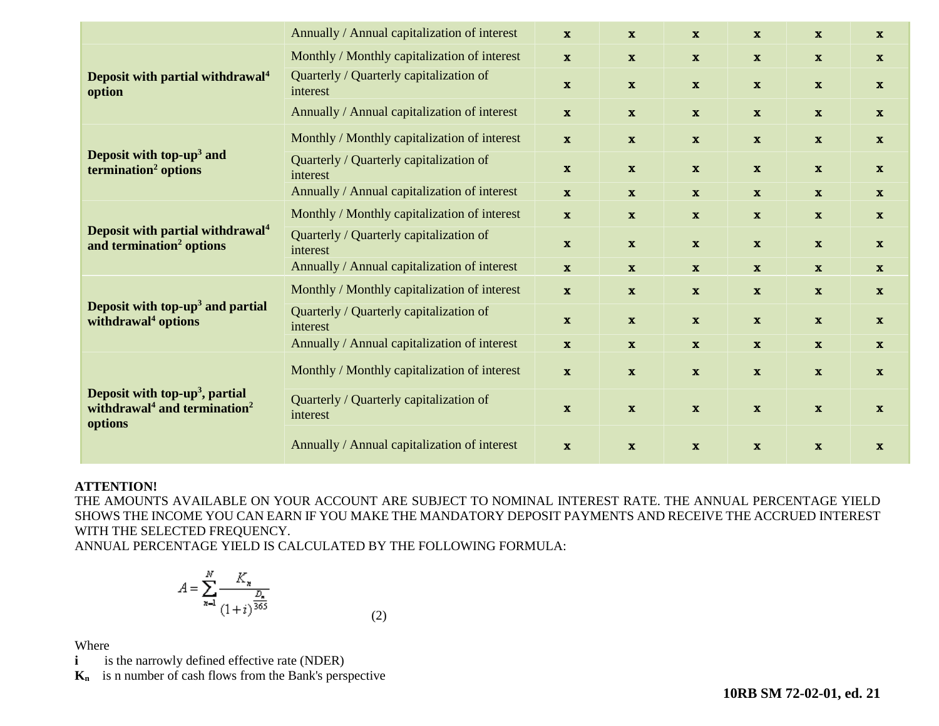|                                                                                                               | Annually / Annual capitalization of interest        | $\mathbf{x}$ | $\mathbf{x}$ | $\mathbf{x}$ | $\mathbf{x}$ | $\mathbf{x}$ | $\mathbf{x}$ |
|---------------------------------------------------------------------------------------------------------------|-----------------------------------------------------|--------------|--------------|--------------|--------------|--------------|--------------|
| Deposit with partial withdrawal <sup>4</sup><br>option                                                        | Monthly / Monthly capitalization of interest        | $\mathbf{x}$ | $\mathbf{x}$ | $\mathbf{x}$ | $\mathbf{x}$ | $\mathbf{x}$ | $\mathbf{x}$ |
|                                                                                                               | Quarterly / Quarterly capitalization of<br>interest | $\mathbf{x}$ | $\mathbf{x}$ | $\mathbf{x}$ | $\mathbf{x}$ | $\mathbf{x}$ | $\mathbf{x}$ |
|                                                                                                               | Annually / Annual capitalization of interest        | $\mathbf{x}$ | $\mathbf{x}$ | $\mathbf{x}$ | $\mathbf{x}$ | $\mathbf{x}$ | $\mathbf{x}$ |
| Deposit with top-up <sup>3</sup> and<br>termination <sup>2</sup> options                                      | Monthly / Monthly capitalization of interest        | $\mathbf{x}$ | $\mathbf{x}$ | $\mathbf{x}$ | $\mathbf{x}$ | $\mathbf{x}$ | $\mathbf{x}$ |
|                                                                                                               | Quarterly / Quarterly capitalization of<br>interest | $\mathbf{x}$ | $\mathbf{x}$ | $\mathbf{x}$ | $\mathbf{x}$ | $\mathbf{x}$ | $\mathbf{x}$ |
|                                                                                                               | Annually / Annual capitalization of interest        | $\mathbf x$  | $\mathbf{x}$ | $\mathbf{x}$ | $\mathbf{x}$ | $\mathbf{x}$ | $\mathbf{x}$ |
| Deposit with partial withdrawal <sup>4</sup><br>and termination <sup>2</sup> options                          | Monthly / Monthly capitalization of interest        | $\mathbf{x}$ | $\mathbf{x}$ | $\mathbf{x}$ | $\mathbf x$  | $\mathbf{x}$ | $\mathbf{x}$ |
|                                                                                                               | Quarterly / Quarterly capitalization of<br>interest | $\mathbf{x}$ | $\mathbf{x}$ | $\mathbf{x}$ | $\mathbf{x}$ | $\mathbf{x}$ | $\mathbf{x}$ |
|                                                                                                               | Annually / Annual capitalization of interest        | $\mathbf{x}$ | $\mathbf{x}$ | $\mathbf{x}$ | $\mathbf{x}$ | $\mathbf{x}$ | $\mathbf{x}$ |
| Deposit with top-up <sup>3</sup> and partial<br>withdrawal <sup>4</sup> options                               | Monthly / Monthly capitalization of interest        | $\mathbf{x}$ | $\mathbf{x}$ | $\mathbf{x}$ | $\mathbf{x}$ | $\mathbf{x}$ | $\mathbf{x}$ |
|                                                                                                               | Quarterly / Quarterly capitalization of<br>interest | $\mathbf{x}$ | $\mathbf{x}$ | $\mathbf{x}$ | $\mathbf{x}$ | $\mathbf{x}$ | $\mathbf{x}$ |
|                                                                                                               | Annually / Annual capitalization of interest        | $\mathbf{x}$ | $\mathbf{x}$ | $\mathbf{x}$ | $\mathbf{x}$ | $\mathbf{x}$ | $\mathbf{x}$ |
| Deposit with top-up <sup>3</sup> , partial<br>withdrawal <sup>4</sup> and termination <sup>2</sup><br>options | Monthly / Monthly capitalization of interest        | $\mathbf x$  | $\mathbf x$  | $\mathbf x$  | $\mathbf x$  | $\mathbf{x}$ | $\mathbf{x}$ |
|                                                                                                               | Quarterly / Quarterly capitalization of<br>interest | $\mathbf{x}$ | $\mathbf{x}$ | $\mathbf x$  | $\mathbf x$  | $\mathbf{x}$ | $\mathbf{x}$ |
|                                                                                                               | Annually / Annual capitalization of interest        | $\mathbf{x}$ | $\mathbf{x}$ | $\mathbf{x}$ | $\mathbf{x}$ | $\mathbf{x}$ | $\mathbf{x}$ |

## **ATTENTION!**

THE AMOUNTS AVAILABLE ON YOUR ACCOUNT ARE SUBJECT TO NOMINAL INTEREST RATE. THE ANNUAL PERCENTAGE YIELD SHOWS THE INCOME YOU CAN EARN IF YOU MAKE THE MANDATORY DEPOSIT PAYMENTS AND RECEIVE THE ACCRUED INTEREST WITH THE SELECTED FREQUENCY.

ANNUAL PERCENTAGE YIELD IS CALCULATED BY THE FOLLOWING FORMULA:

$$
A = \sum_{n=1}^{N} \frac{K_n}{(1+i)^{\frac{D_n}{365}}}
$$
(2)

Where

**i is the narrowly defined effective rate (NDER)** 

**Kn** is n number of cash flows from the Bank's perspective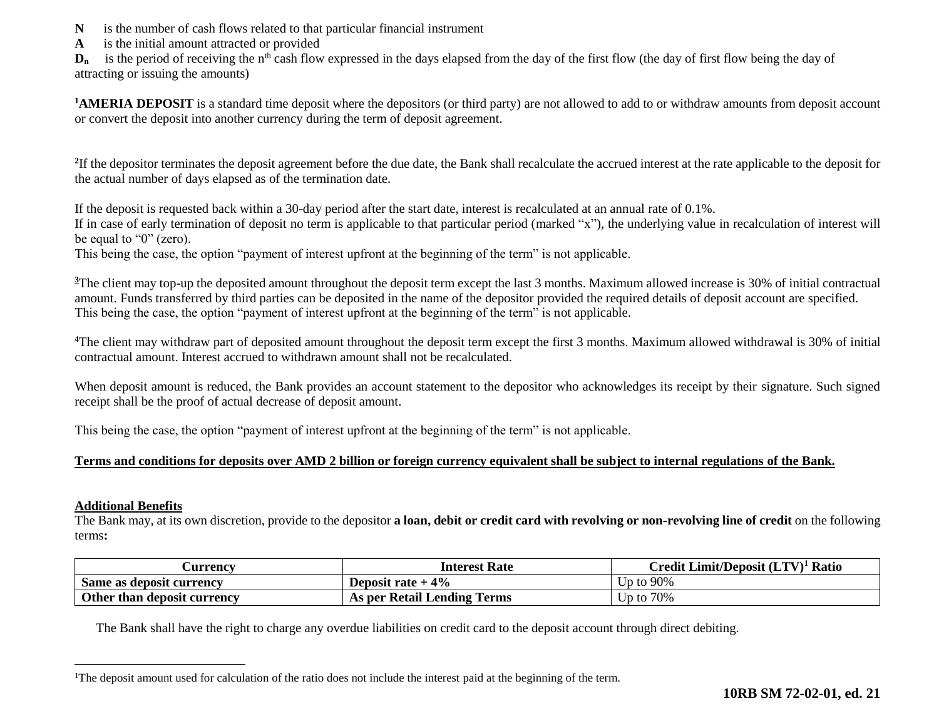- **N** is the number of cash flows related to that particular financial instrument
- **A** is the initial amount attracted or provided

 $D_n$  is the period of receiving the n<sup>th</sup> cash flow expressed in the days elapsed from the day of the first flow (the day of first flow being the day of attracting or issuing the amounts)

**<sup>1</sup>AMERIA DEPOSIT** is a standard time deposit where the depositors (or third party) are not allowed to add to or withdraw amounts from deposit account or convert the deposit into another currency during the term of deposit agreement.

<sup>2</sup>If the depositor terminates the deposit agreement before the due date, the Bank shall recalculate the accrued interest at the rate applicable to the deposit for the actual number of days elapsed as of the termination date.

If the deposit is requested back within a 30-day period after the start date, interest is recalculated at an annual rate of 0.1%.

If in case of early termination of deposit no term is applicable to that particular period (marked "x"), the underlying value in recalculation of interest will be equal to "0" (zero).

This being the case, the option "payment of interest upfront at the beginning of the term" is not applicable.

<sup>3</sup>The client may top-up the deposited amount throughout the deposit term except the last 3 months. Maximum allowed increase is 30% of initial contractual amount. Funds transferred by third parties can be deposited in the name of the depositor provided the required details of deposit account are specified. This being the case, the option "payment of interest upfront at the beginning of the term" is not applicable.

<sup>4</sup>The client may withdraw part of deposited amount throughout the deposit term except the first 3 months. Maximum allowed withdrawal is 30% of initial contractual amount. Interest accrued to withdrawn amount shall not be recalculated.

When deposit amount is reduced, the Bank provides an account statement to the depositor who acknowledges its receipt by their signature. Such signed receipt shall be the proof of actual decrease of deposit amount.

This being the case, the option "payment of interest upfront at the beginning of the term" is not applicable.

## **Terms and conditions for deposits over AMD 2 billion or foreign currency equivalent shall be subject to internal regulations of the Bank.**

#### **Additional Benefits**

 $\overline{a}$ 

The Bank may, at its own discretion, provide to the depositor **a loan, debit or credit card with revolving or non-revolving line of credit** on the following terms**:**

| <b>Qurrency</b>             | <b>Interest Rate</b>        | Credit Limit/Deposit (LTV) <sup>1</sup> Ratio |
|-----------------------------|-----------------------------|-----------------------------------------------|
| Same as deposit currency    | Deposit rate $+4\%$         | 90%<br>Un to-                                 |
| Other than deposit currency | As per Retail Lending Terms | 70%<br>Up to                                  |

The Bank shall have the right to charge any overdue liabilities on credit card to the deposit account through direct debiting.

<sup>&</sup>lt;sup>1</sup>The deposit amount used for calculation of the ratio does not include the interest paid at the beginning of the term.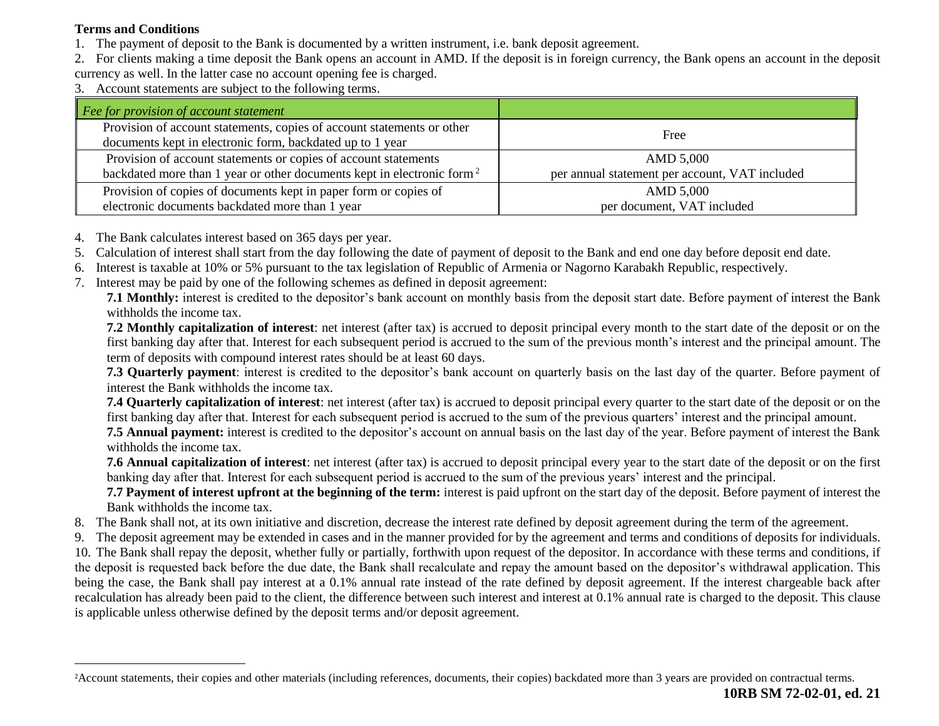## **Terms and Conditions**

 $\overline{a}$ 

- 1. The payment of deposit to the Bank is documented by a written instrument, i.e. bank deposit agreement.
- 2. For clients making a time deposit the Bank opens an account in AMD. If the deposit is in foreign currency, the Bank opens an account in the deposit currency as well. In the latter case no account opening fee is charged.
- 3. Account statements are subject to the following terms.

| Fee for provision of account statement                                                                                              |                                                |
|-------------------------------------------------------------------------------------------------------------------------------------|------------------------------------------------|
| Provision of account statements, copies of account statements or other<br>documents kept in electronic form, backdated up to 1 year | Free                                           |
| Provision of account statements or copies of account statements                                                                     | AMD 5,000                                      |
| backdated more than 1 year or other documents kept in electronic form <sup>2</sup>                                                  | per annual statement per account, VAT included |
| Provision of copies of documents kept in paper form or copies of                                                                    | AMD 5,000                                      |
| electronic documents backdated more than 1 year                                                                                     | per document, VAT included                     |

- 4. The Bank calculates interest based on 365 days per year.
- 5. Calculation of interest shall start from the day following the date of payment of deposit to the Bank and end one day before deposit end date.
- 6. Interest is taxable at 10% or 5% pursuant to the tax legislation of Republic of Armenia or Nagorno Karabakh Republic, respectively.
- 7. Interest may be paid by one of the following schemes as defined in deposit agreement:

**7.1 Monthly:** interest is credited to the depositor's bank account on monthly basis from the deposit start date. Before payment of interest the Bank withholds the income tax.

**7.2 Monthly capitalization of interest**: net interest (after tax) is accrued to deposit principal every month to the start date of the deposit or on the first banking day after that. Interest for each subsequent period is accrued to the sum of the previous month's interest and the principal amount. The term of deposits with compound interest rates should be at least 60 days.

**7.3 Quarterly payment**: interest is credited to the depositor's bank account on quarterly basis on the last day of the quarter. Before payment of interest the Bank withholds the income tax.

**7.4 Quarterly capitalization of interest**: net interest (after tax) is accrued to deposit principal every quarter to the start date of the deposit or on the first banking day after that. Interest for each subsequent period is accrued to the sum of the previous quarters' interest and the principal amount.

**7.5 Annual payment:** interest is credited to the depositor's account on annual basis on the last day of the year. Before payment of interest the Bank withholds the income tax.

**7.6 Annual capitalization of interest**: net interest (after tax) is accrued to deposit principal every year to the start date of the deposit or on the first banking day after that. Interest for each subsequent period is accrued to the sum of the previous years' interest and the principal.

**7.7 Payment of interest upfront at the beginning of the term:** interest is paid upfront on the start day of the deposit. Before payment of interest the Bank withholds the income tax.

- 8. The Bank shall not, at its own initiative and discretion, decrease the interest rate defined by deposit agreement during the term of the agreement.
- 9. The deposit agreement may be extended in cases and in the manner provided for by the agreement and terms and conditions of deposits for individuals.

10. The Bank shall repay the deposit, whether fully or partially, forthwith upon request of the depositor. In accordance with these terms and conditions, if the deposit is requested back before the due date, the Bank shall recalculate and repay the amount based on the depositor's withdrawal application. This being the case, the Bank shall pay interest at a 0.1% annual rate instead of the rate defined by deposit agreement. If the interest chargeable back after recalculation has already been paid to the client, the difference between such interest and interest at 0.1% annual rate is charged to the deposit. This clause is applicable unless otherwise defined by the deposit terms and/or deposit agreement.

<sup>2</sup>Account statements, their copies and other materials (including references, documents, their copies) backdated more than 3 years are provided on contractual terms.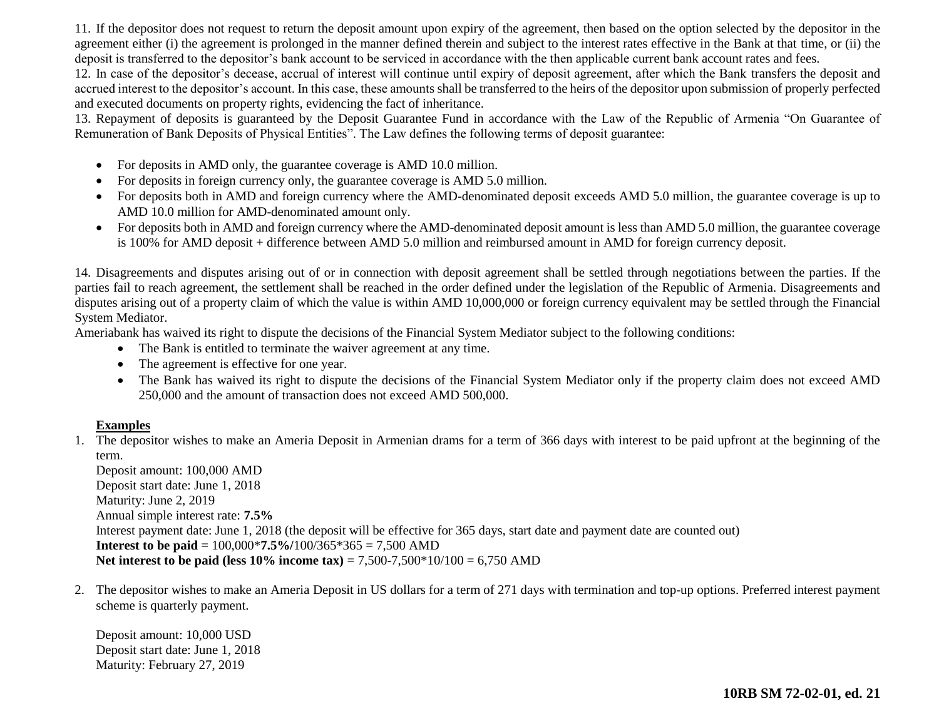11. If the depositor does not request to return the deposit amount upon expiry of the agreement, then based on the option selected by the depositor in the agreement either (i) the agreement is prolonged in the manner defined therein and subject to the interest rates effective in the Bank at that time, or (ii) the deposit is transferred to the depositor's bank account to be serviced in accordance with the then applicable current bank account rates and fees.

12. In case of the depositor's decease, accrual of interest will continue until expiry of deposit agreement, after which the Bank transfers the deposit and accrued interest to the depositor's account. In this case, these amounts shall be transferred to the heirs of the depositor upon submission of properly perfected and executed documents on property rights, evidencing the fact of inheritance.

13. Repayment of deposits is guaranteed by the Deposit Guarantee Fund in accordance with the Law of the Republic of Armenia "On Guarantee of Remuneration of Bank Deposits of Physical Entities". The Law defines the following terms of deposit guarantee:

- For deposits in AMD only, the guarantee coverage is AMD 10.0 million.
- For deposits in foreign currency only, the guarantee coverage is AMD 5.0 million.
- For deposits both in AMD and foreign currency where the AMD-denominated deposit exceeds AMD 5.0 million, the guarantee coverage is up to AMD 10.0 million for AMD-denominated amount only.
- For deposits both in AMD and foreign currency where the AMD-denominated deposit amount is less than AMD 5.0 million, the guarantee coverage is 100% for AMD deposit + difference between AMD 5.0 million and reimbursed amount in AMD for foreign currency deposit.

14. Disagreements and disputes arising out of or in connection with deposit agreement shall be settled through negotiations between the parties. If the parties fail to reach agreement, the settlement shall be reached in the order defined under the legislation of the Republic of Armenia. Disagreements and disputes arising out of a property claim of which the value is within AMD 10,000,000 or foreign currency equivalent may be settled through the Financial System Mediator.

Ameriabank has waived its right to dispute the decisions of the Financial System Mediator subject to the following conditions:

- The Bank is entitled to terminate the waiver agreement at any time.
- The agreement is effective for one year.
- The Bank has waived its right to dispute the decisions of the Financial System Mediator only if the property claim does not exceed AMD 250,000 and the amount of transaction does not exceed AMD 500,000.

#### **Examples**

1. The depositor wishes to make an Ameria Deposit in Armenian drams for a term of 366 days with interest to be paid upfront at the beginning of the term.

Deposit amount: 100,000 AMD Deposit start date: June 1, 2018 Maturity: June 2, 2019 Annual simple interest rate: **7.5%** Interest payment date: June 1, 2018 (the deposit will be effective for 365 days, start date and payment date are counted out) **Interest to be paid** = 100,000\***7.5%/**100/365\*365 = 7,500 AMD **Net interest to be paid (less 10% income tax)** = 7,500-7,500\*10/100 = 6,750 AMD

2. The depositor wishes to make an Ameria Deposit in US dollars for a term of 271 days with termination and top-up options. Preferred interest payment scheme is quarterly payment.

Deposit amount: 10,000 USD Deposit start date: June 1, 2018 Maturity: February 27, 2019